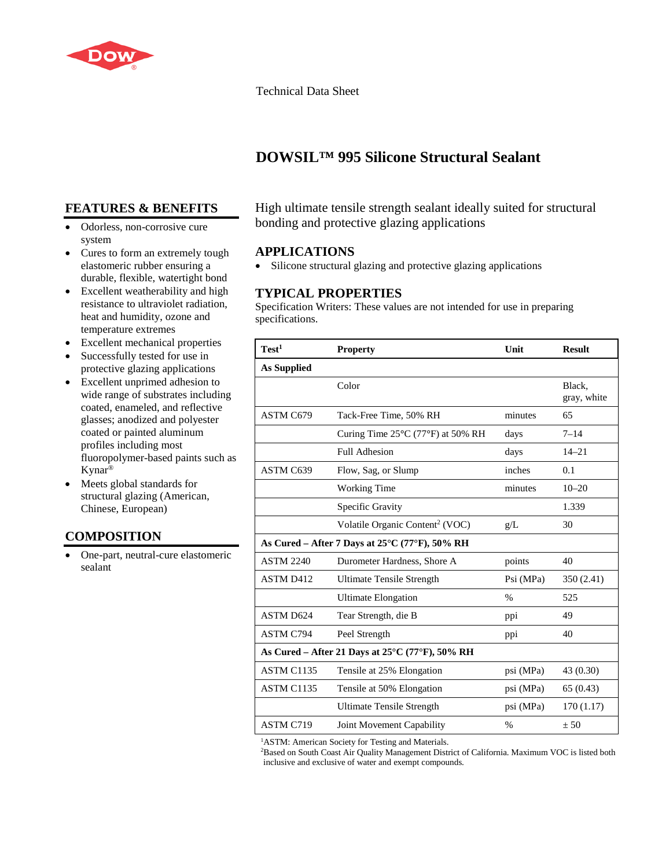

#### Technical Data Sheet

# **DOWSIL™ 995 Silicone Structural Sealant**

# **FEATURES & BENEFITS**

- Odorless, non-corrosive cure system
- Cures to form an extremely tough elastomeric rubber ensuring a durable, flexible, watertight bond
- Excellent weatherability and high resistance to ultraviolet radiation, heat and humidity, ozone and temperature extremes
- Excellent mechanical properties
- Successfully tested for use in protective glazing applications
- Excellent unprimed adhesion to wide range of substrates including coated, enameled, and reflective glasses; anodized and polyester coated or painted aluminum profiles including most fluoropolymer-based paints such as Kynar®
- Meets global standards for structural glazing (American, Chinese, European)

# **COMPOSITION**

• One-part, neutral-cure elastomeric sealant

High ultimate tensile strength sealant ideally suited for structural bonding and protective glazing applications

## **APPLICATIONS**

• Silicone structural glazing and protective glazing applications

### **TYPICAL PROPERTIES**

Specification Writers: These values are not intended for use in preparing specifications.

| Test <sup>1</sup>                                                    | <b>Property</b>                                        | Unit      | <b>Result</b>         |
|----------------------------------------------------------------------|--------------------------------------------------------|-----------|-----------------------|
| <b>As Supplied</b>                                                   |                                                        |           |                       |
|                                                                      | Color                                                  |           | Black,<br>gray, white |
| ASTM C679                                                            | Tack-Free Time, 50% RH                                 | minutes   | 65                    |
|                                                                      | Curing Time $25^{\circ}$ C (77 $^{\circ}$ F) at 50% RH | days      | $7 - 14$              |
|                                                                      | <b>Full Adhesion</b>                                   | days      | $14 - 21$             |
| ASTM C639                                                            | Flow, Sag, or Slump                                    | inches    | 0.1                   |
|                                                                      | <b>Working Time</b>                                    | minutes   | $10 - 20$             |
|                                                                      | Specific Gravity                                       |           | 1.339                 |
|                                                                      | Volatile Organic Content <sup>2</sup> (VOC)            | $g/L$     | 30                    |
| As Cured – After 7 Days at 25°C (77°F), 50% RH                       |                                                        |           |                       |
| <b>ASTM 2240</b>                                                     | Durometer Hardness, Shore A                            | points    | 40                    |
| ASTM D412                                                            | Ultimate Tensile Strength                              | Psi (MPa) | 350 (2.41)            |
|                                                                      | <b>Ultimate Elongation</b>                             | $\%$      | 525                   |
| ASTM D624                                                            | Tear Strength, die B                                   | ppi       | 49                    |
| ASTM C794                                                            | Peel Strength                                          | ppi       | 40                    |
| As Cured – After 21 Days at $25^{\circ}$ C (77 $^{\circ}$ F), 50% RH |                                                        |           |                       |
| ASTM C1135                                                           | Tensile at 25% Elongation                              | psi (MPa) | 43 (0.30)             |
| ASTM C1135                                                           | Tensile at 50% Elongation                              | psi (MPa) | 65 (0.43)             |
|                                                                      | Ultimate Tensile Strength                              | psi (MPa) | 170(1.17)             |
| ASTM C719                                                            | Joint Movement Capability                              | $\%$      | ± 50                  |

<sup>1</sup>ASTM: American Society for Testing and Materials.

2 Based on South Coast Air Quality Management District of California. Maximum VOC is listed both inclusive and exclusive of water and exempt compounds.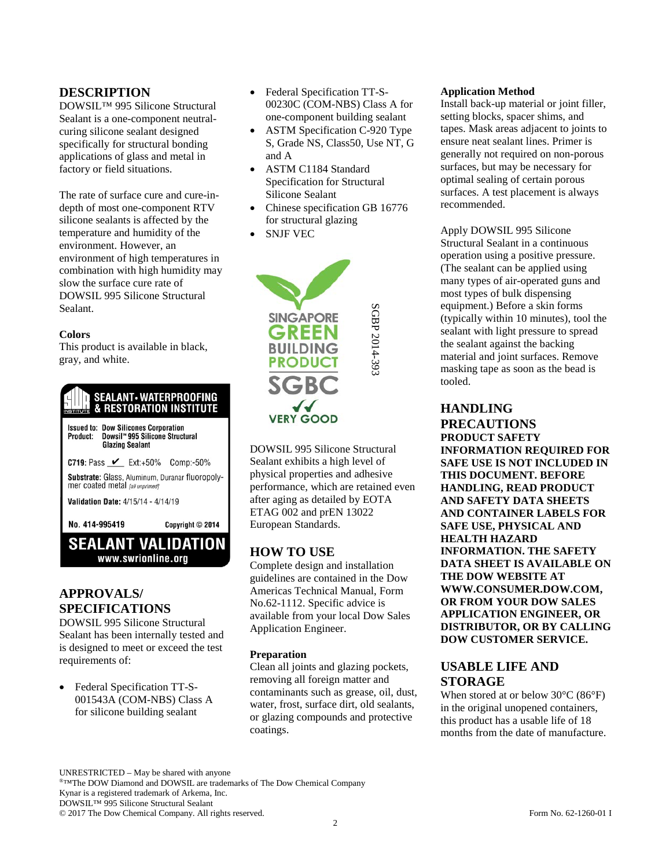### **DESCRIPTION**

DOWSIL™ 995 Silicone Structural Sealant is a one-component neutralcuring silicone sealant designed specifically for structural bonding applications of glass and metal in factory or field situations.

The rate of surface cure and cure-indepth of most one-component RTV silicone sealants is affected by the temperature and humidity of the environment. However, an environment of high temperatures in combination with high humidity may slow the surface cure rate of DOWSIL 995 Silicone Structural Sealant.

#### **Colors**

This product is available in black, gray, and white.

# **SEALANT • WATERPROOFING**<br>& RESTORATION INSTITUTE

**Issued to: Dow Silicones Corporation** Product: Dowsil™ 995 Silicone Structural<br>Glazing Sealant

**C719:** Pass  $\mathsf{Y}$  Ext:+50% Comp:-50%

Substrate: Glass, Aluminum, Duranar fluoropoly-<br>mer coated metal [all unprimed]

Validation Date: 4/15/14 - 4/14/19

No. 414-995419

**SEALANT VALIDATION** www.swrionline.org

Copyright © 2014

## **APPROVALS/ SPECIFICATIONS**

DOWSIL 995 Silicone Structural Sealant has been internally tested and is designed to meet or exceed the test requirements of:

• Federal Specification TT-S-001543A (COM-NBS) Class A for silicone building sealant

- Federal Specification TT-S-00230C (COM-NBS) Class A for one-component building sealant
- ASTM Specification C-920 Type S, Grade NS, Class50, Use NT, G and A
- ASTM C1184 Standard Specification for Structural Silicone Sealant
- Chinese specification GB 16776 for structural glazing
- SNJF VEC



DOWSIL 995 Silicone Structural Sealant exhibits a high level of physical properties and adhesive performance, which are retained even after aging as detailed by EOTA ETAG 002 and prEN 13022 European Standards.

# **HOW TO USE**

Complete design and installation guidelines are contained in the Dow Americas Technical Manual, Form No.62-1112. Specific advice is available from your local Dow Sales Application Engineer.

#### **Preparation**

Clean all joints and glazing pockets, removing all foreign matter and contaminants such as grease, oil, dust, water, frost, surface dirt, old sealants, or glazing compounds and protective coatings.

#### **Application Method**

Install back-up material or joint filler, setting blocks, spacer shims, and tapes. Mask areas adjacent to joints to ensure neat sealant lines. Primer is generally not required on non-porous surfaces, but may be necessary for optimal sealing of certain porous surfaces. A test placement is always recommended.

Apply DOWSIL 995 Silicone Structural Sealant in a continuous operation using a positive pressure. (The sealant can be applied using many types of air-operated guns and most types of bulk dispensing equipment.) Before a skin forms (typically within 10 minutes), tool the sealant with light pressure to spread the sealant against the backing material and joint surfaces. Remove masking tape as soon as the bead is tooled.

**HANDLING PRECAUTIONS PRODUCT SAFETY INFORMATION REQUIRED FOR SAFE USE IS NOT INCLUDED IN THIS DOCUMENT. BEFORE HANDLING, READ PRODUCT AND SAFETY DATA SHEETS AND CONTAINER LABELS FOR SAFE USE, PHYSICAL AND HEALTH HAZARD INFORMATION. THE SAFETY DATA SHEET IS AVAILABLE ON THE DOW WEBSITE AT WWW.CONSUMER.DOW.COM, OR FROM YOUR DOW SALES APPLICATION ENGINEER, OR DISTRIBUTOR, OR BY CALLING DOW CUSTOMER SERVICE.**

## **USABLE LIFE AND STORAGE**

When stored at or below 30°C (86°F) in the original unopened containers, this product has a usable life of 18 months from the date of manufacture.

UNRESTRICTED – May be shared with anyone ®™The DOW Diamond and DOWSIL are trademarks of The Dow Chemical Company Kynar is a registered trademark of Arkema, Inc. DOWSIL™ 995 Silicone Structural Sealant © 2017 The Dow Chemical Company. All rights reserved. Form No. 62-1260-01 I